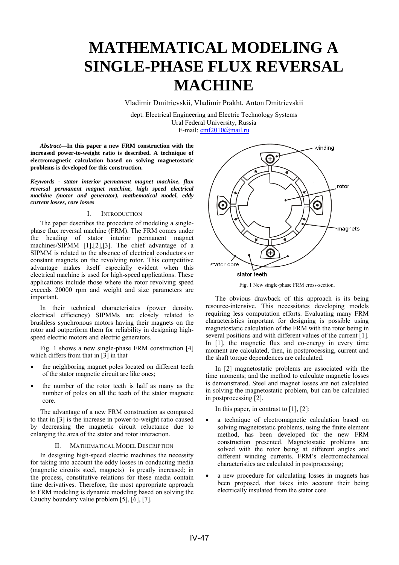# **MATHEMATICAL MODELING A SINGLE-PHASE FLUX REVERSAL MACHINE**

Vladimir Dmitrievskii, Vladimir Prakht, Anton Dmitrievskii

dept. Electrical Engineering and Electric Technology Systems Ural Federal University, Russia E-mail: emf2010@mail.ru

*Abstract—***In this paper a new FRM construction with the increased power-to-weight ratio is described. A technique of electromagnetic calculation based on solving magnetostatic problems is developed for this construction.**

*Keywords - stator interior permanent magnet machine, flux reversal permanent magnet machine, high speed electrical machine (motor and generator), mathematical model, eddy current losses, core losses* 

## I. INTRODUCTION

The paper describes the procedure of modeling a singlephase flux reversal machine (FRM). The FRM comes under the heading of stator interior permanent magnet machines/SIPMM [1],[2],[3]. The chief advantage of a SIPMM is related to the absence of electrical conductors or constant magnets on the revolving rotor. This competitive advantage makes itself especially evident when this electrical machine is used for high-speed applications. These applications include those where the rotor revolving speed exceeds 20000 rpm and weight and size parameters are important.

In their technical characteristics (power density, electrical efficiency) SIPMMs are closely related to brushless synchronous motors having their magnets on the rotor and outperform them for reliability in designing highspeed electric motors and electric generators.

Fig. 1 shows a new single-phase FRM construction [4] which differs from that in [3] in that

- the neighboring magnet poles located on different teeth of the stator magnetic circuit are like ones;
- the number of the rotor teeth is half as many as the number of poles on all the teeth of the stator magnetic core.

The advantage of a new FRM construction as compared to that in [3] is the increase in power-to-weight ratio caused by decreasing the magnetic circuit reluctance due to enlarging the area of the stator and rotor interaction.

### II. MATHEMATICAL MODEL DESCRIPTION

In designing high-speed electric machines the necessity for taking into account the eddy losses in conducting media (magnetic circuits steel, magnets) is greatly increased; in the process, constitutive relations for these media contain time derivatives. Therefore, the most appropriate approach to FRM modeling is dynamic modeling based on solving the Cauchy boundary value problem [5], [6], [7].



Fig. 1 New single-phase FRM cross-section.

The obvious drawback of this approach is its being resource-intensive. This necessitates developing models requiring less computation efforts. Evaluating many FRM characteristics important for designing is possible using magnetostatic calculation of the FRM with the rotor being in several positions and with different values of the current [1]. In [1], the magnetic flux and co-energy in every time moment are calculated, then, in postprocessing, current and the shaft torque dependences are calculated.

In [2] magnetostatic problems are associated with the time moments; and the method to calculate magnetic losses is demonstrated. Steel and magnet losses are not calculated in solving the magnetostatic problem, but can be calculated in postprocessing [2].

In this paper, in contrast to  $[1]$ ,  $[2]$ :

- a technique of electromagnetic calculation based on solving magnetostatic problems, using the finite element method, has been developed for the new FRM construction presented. Magnetostatic problems are solved with the rotor being at different angles and different winding currents. FRM's electromechanical characteristics are calculated in postprocessing;
- a new procedure for calculating losses in magnets has been proposed, that takes into account their being electrically insulated from the stator core.